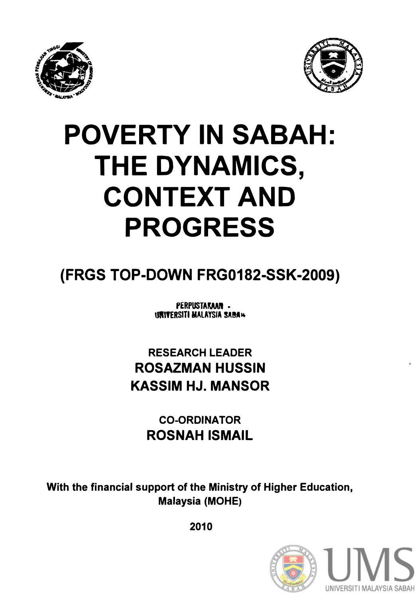



## **POVERTY IN SABAH: THE DYNAMICS, CONTEXT AND PROGRESS**

## **(FRGS TOP-DOWN FRG0182-SSK-2009)**

PERPUSTAKAAN -**URIVERSITI MALAYSIA SARA4** 

**RESEARCH LEADER ROSAZMAN HUSSIN KASSIM HJ. MANSOR** 

> **CO-ORDINATOR ROSNAH ISMAIL**

**With the financial support of the Ministry of Higher Education, Malaysia (MOHE)** 

**2010** 

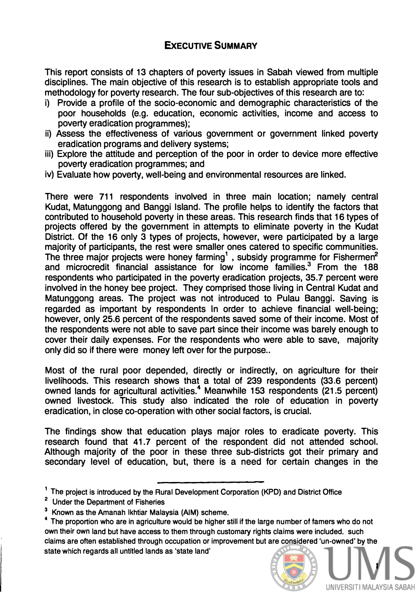## **ExECUTIVE SUMMARY**

**This report consists of 13 chapters of poverty issues in Sabah viewed from multiple disciplines. The main objective of this research is to establish appropriate tools and methodology for poverty research. The four sub-objectives of this research are to:** 

- **i) Provide a profile of the socio-economic and demographic characteristics of the poor households (e.g. education, economic activities, income and access to poverty eradication programmes);**
- **ii) Assess the effectiveness of various government or government linked poverty eradication programs and delivery systems;**
- **iii) Explore the attitude and perception of the poor in order to device more effective poverty eradication programmes; and**
- **iv) Evaluate how poverty, well-being and environmental resources are linked.**

**There were 711 respondents involved in three main location; namely central Kudat, Matunggong and Banggi Island. The profile helps to identify the factors that contributed to household poverty in these areas. This research finds that 16 types of projects offered by the government in attempts to eliminate poverty in the Kudat District. Of the 16 only 3 types of projects, however, were participated by a large majority of participants, the rest were smaller ones catered to specific communities. The three major projects were honey farming <sup>1</sup> , subsidy programme for Fishermen<sup>2</sup> and microcredit financial assistance for low income families.3 From the 188 respondents who participated in the poverty eradication projects, 35.7 percent were involved in the honey bee project. They comprised those living in Central Kudat and Matunggong areas. The project was not introduced to Pulau Banggi. Saving is regarded as important by respondents In order to achieve financial well-being; however, only 25.6 percent of the respondents saved some of their income. Most of the respondents were not able to save part since their income was barely enough to cover their daily expenses. For the respondents who were able to save, majority**  only did so if there were money left over for the purpose..

**Most of the rural poor depended, directly or indirectly, on agriculture for their livelihoods. This research shows that a total of 239 respondents (33.6 percent) owned lands for agricultural activities.<sup>4</sup>Meanwhile 153 respondents (21.5 percent) owned livestock. This study also indicated the role of education in poverty eradication, in close co-operation with other social factors, is crucial.** 

**The findings show that education plays major roles to eradicate poverty. This**  research found that 41.7 percent of the respondent did not attended school. **Although majority of the poor in these three sub-districts got their primary and secondary level of education, but, there is a need for certain changes in the** 

<sup>4</sup>**The proportion who are in agriculture would be higher still if the large number of famers who do not own their own land but have access to them through customary rights claims were included. such claims are often established through occupation or improvement but are considered 'un-owned' by the state which regards all untitled lands as 'state land'** 



**<sup>1</sup> The project is introduced by the Rural Development Corporation (KPD) and District Office** 

**<sup>2</sup> Under the Department of Fisheries** 

**<sup>3</sup>Known as the Amanah lkhtiar Malaysia (AIM) scheme.**